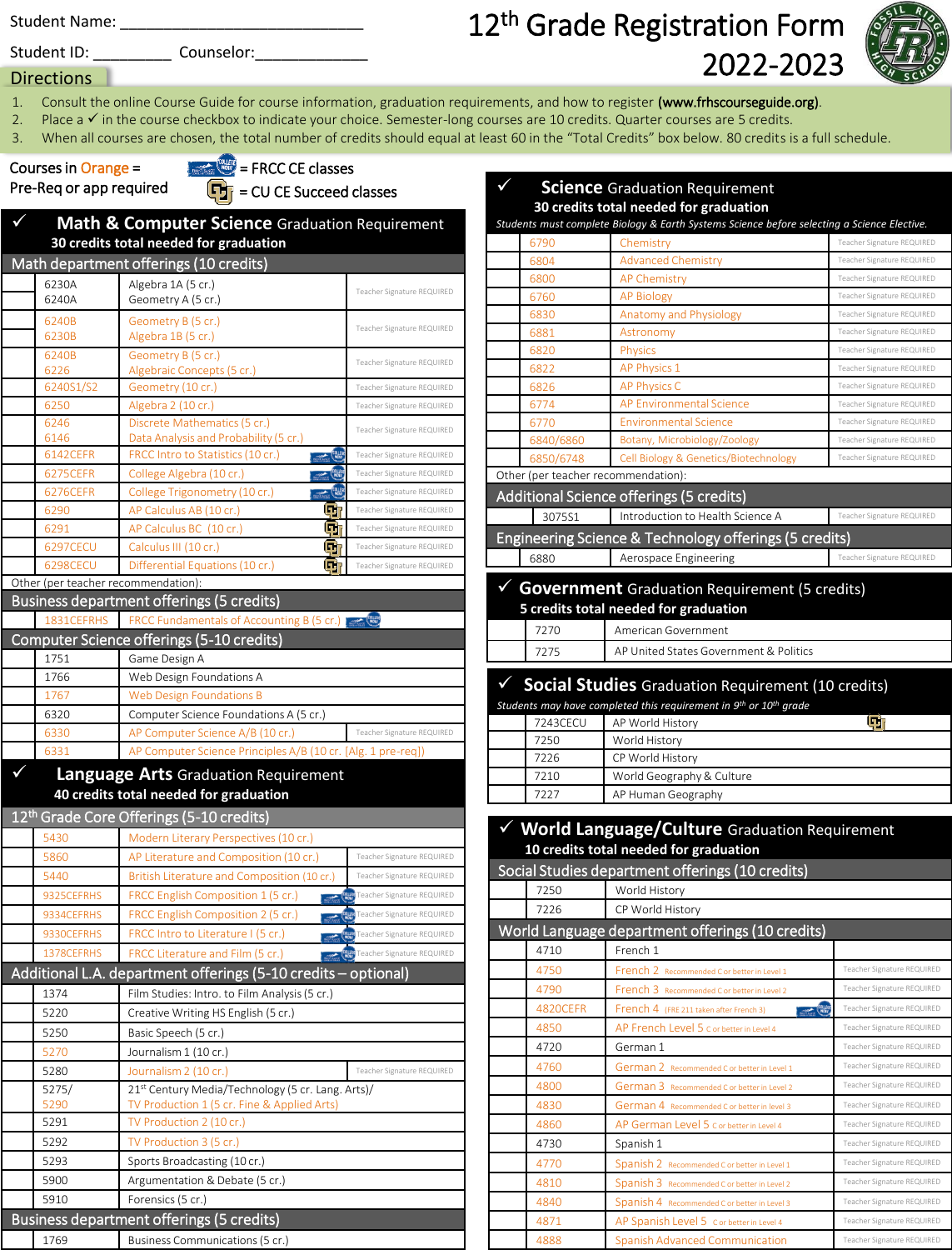Student Name: \_\_\_\_\_\_\_\_\_\_\_\_\_\_\_\_\_\_\_\_\_\_\_\_\_\_\_\_

12<sup>th</sup> Grade Registration Form 2022-2023 Student ID: \_\_\_\_\_\_\_\_\_ Counselor:\_\_\_\_\_\_\_\_\_\_\_\_\_



- Directions |
- 1. Consult the online Course Guide for course information, graduation requirements, and how to register (www.frhscourseguide.org).
- 2. Place a ✓ in the course checkbox to indicate your choice. Semester-long courses are 10 credits. Quarter courses are 5 credits.
- 3. When all courses are chosen, the total number of credits should equal at least 60 in the "Total Credits" box below. 80 credits is a full schedule.

## Pre-Req or app required

 $\Box$  = CU CE Succeed classes Courses in Orange = = FRCC CE classes

| $\checkmark$ |                                     | <b>Math &amp; Computer Science Graduation Requirement</b><br>30 credits total needed for graduation |                            |
|--------------|-------------------------------------|-----------------------------------------------------------------------------------------------------|----------------------------|
|              |                                     | Math department offerings (10 credits)                                                              |                            |
|              | 6230A                               | Algebra 1A (5 cr.)                                                                                  |                            |
|              | 6240A                               | Geometry A (5 cr.)                                                                                  | Teacher Signature REQUIRED |
|              | 6240B                               | Geometry B (5 cr.)                                                                                  | Teacher Signature REQUIRED |
|              | 6230B                               | Algebra 1B (5 cr.)                                                                                  |                            |
|              | 6240B                               | Geometry B (5 cr.)                                                                                  | Teacher Signature REQUIRED |
|              | 6226<br>6240S1/S2                   | Algebraic Concepts (5 cr.)<br>Geometry (10 cr.)                                                     | Teacher Signature REQUIRED |
|              | 6250                                | Algebra 2 (10 cr.)                                                                                  | Teacher Signature REQUIRED |
|              | 6246                                | Discrete Mathematics (5 cr.)                                                                        |                            |
|              | 6146                                | Data Analysis and Probability (5 cr.)                                                               | Teacher Signature REQUIRED |
|              | 6142CEFR                            | <b>COLLEGE</b><br>FRCC Intro to Statistics (10 cr.)                                                 | Teacher Signature REQUIRED |
|              | 6275CEFR                            | College Algebra (10 cr.)<br><b>COLLEGE</b>                                                          | Teacher Signature REQUIRED |
|              | 6276CEFR                            | <b>COLLEGE</b><br>College Trigonometry (10 cr.)                                                     | Teacher Signature REQUIRED |
|              | 6290                                | qт<br>AP Calculus AB (10 cr.)                                                                       | Teacher Signature REQUIRED |
|              | 6291                                | Œ,<br>AP Calculus BC (10 cr.)                                                                       | Teacher Signature REQUIRED |
|              | 6297CECU                            | Calculus III (10 cr.)<br>u i                                                                        | Teacher Signature REQUIRED |
|              | 6298CECU                            | Differential Equations (10 cr.)<br>ш                                                                | Teacher Signature REQUIRED |
|              | Other (per teacher recommendation): |                                                                                                     |                            |
|              |                                     | Business department offerings (5 credits)                                                           |                            |
|              | 1831CEFRHS                          | FRCC Fundamentals of Accounting B (5 cr.)                                                           |                            |
|              |                                     | Computer Science offerings (5-10 credits)                                                           |                            |
|              | 1751                                | Game Design A                                                                                       |                            |
|              | 1766                                | Web Design Foundations A                                                                            |                            |
|              | 1767                                | <b>Web Design Foundations B</b>                                                                     |                            |
|              | 6320                                | Computer Science Foundations A (5 cr.)                                                              |                            |
|              | 6330                                | AP Computer Science A/B (10 cr.)                                                                    | Teacher Signature REQUIRED |
|              | 6331                                | AP Computer Science Principles A/B (10 cr. [Alg. 1 pre-req])                                        |                            |
|              |                                     | <b>Language Arts Graduation Requirement</b><br>40 credits total needed for graduation               |                            |
|              |                                     | 12 <sup>th</sup> Grade Core Offerings (5-10 credits)                                                |                            |
|              | 5430                                | Modern Literary Perspectives (10 cr.)                                                               |                            |
|              | 5860                                | AP Literature and Composition (10 cr.)                                                              | Teacher Signature REQUIRED |
|              | 5440                                | British Literature and Composition (10 cr.)                                                         | Teacher Signature REQUIRED |
|              | 9325CEFRHS                          | FRCC English Composition 1 (5 cr.)                                                                  | Teacher Signature REQUIRED |
|              | 9334CEFRHS                          | FRCC English Composition 2 (5 cr.)                                                                  | Teacher Signature REQUIRED |
|              | 9330CEFRHS                          | FRCC Intro to Literature I (5 cr.)                                                                  | Teacher Signature REQUIRED |
|              | 1378CEFRHS                          | FRCC Literature and Film (5 cr.)                                                                    | Teacher Signature REQUIRED |
|              |                                     | Additional L.A. department offerings (5-10 credits - optional)                                      |                            |
|              |                                     |                                                                                                     |                            |
|              | 1374                                | Film Studies: Intro. to Film Analysis (5 cr.)                                                       |                            |
|              | 5220                                | Creative Writing HS English (5 cr.)                                                                 |                            |
|              | 5250                                | Basic Speech (5 cr.)                                                                                |                            |
|              | 5270                                | Journalism 1 (10 cr.)                                                                               |                            |
|              | 5280                                | Journalism 2 (10 cr.)                                                                               | Teacher Signature REQUIRED |
|              | 5275/<br>5290                       | 21st Century Media/Technology (5 cr. Lang. Arts)/<br>TV Production 1 (5 cr. Fine & Applied Arts)    |                            |
|              | 5291                                | TV Production 2 (10 cr.)                                                                            |                            |
|              | 5292                                | TV Production 3 (5 cr.)                                                                             |                            |
|              | 5293                                | Sports Broadcasting (10 cr.)                                                                        |                            |

5900 Argumentation & Debate (5 cr.)

5910 Forensics (5 cr.) Business department offerings (5 credits) 1769 Business Communications (5 cr.)

|   |                                     | <b>Science</b> Graduation Requirement                                                       |                                                          |
|---|-------------------------------------|---------------------------------------------------------------------------------------------|----------------------------------------------------------|
|   |                                     | 30 credits total needed for graduation                                                      |                                                          |
|   |                                     | Students must complete Biology & Earth Systems Science before selecting a Science Elective. |                                                          |
|   | 6790<br>6804                        | Chemistry<br><b>Advanced Chemistry</b>                                                      | Teacher Signature REQUIRED<br>Teacher Signature REQUIRED |
|   | 6800                                | <b>AP Chemistry</b>                                                                         | Teacher Signature REQUIRED                               |
|   | 6760                                | <b>AP Biology</b>                                                                           | Teacher Signature REQUIRED                               |
|   | 6830                                | <b>Anatomy and Physiology</b>                                                               | Teacher Signature REQUIRED                               |
|   | 6881                                | Astronomy                                                                                   | Teacher Signature REQUIRED                               |
|   | 6820                                | <b>Physics</b>                                                                              | Teacher Signature REQUIRED                               |
|   | 6822                                | <b>AP Physics 1</b>                                                                         | Teacher Signature REQUIRED                               |
|   | 6826                                | <b>AP Physics C</b>                                                                         | Teacher Signature REQUIRED                               |
|   | 6774                                | <b>AP Environmental Science</b>                                                             | Teacher Signature REQUIRED                               |
|   | 6770                                | <b>Environmental Science</b>                                                                | Teacher Signature REQUIRED                               |
|   | 6840/6860                           | Botany, Microbiology/Zoology                                                                | Teacher Signature REQUIRED                               |
|   | 6850/6748                           | Cell Biology & Genetics/Biotechnology                                                       | Teacher Signature REQUIRED                               |
|   | Other (per teacher recommendation): |                                                                                             |                                                          |
|   |                                     | Additional Science offerings (5 credits)                                                    |                                                          |
|   | 307551                              | Introduction to Health Science A                                                            | Teacher Signature REQUIRED                               |
|   |                                     | Engineering Science & Technology offerings (5 credits)                                      |                                                          |
|   | 6880                                | Aerospace Engineering                                                                       | Teacher Signature REQUIRED                               |
|   |                                     |                                                                                             |                                                          |
| ✓ |                                     | <b>Government</b> Graduation Requirement (5 credits)                                        |                                                          |
|   |                                     | 5 credits total needed for graduation                                                       |                                                          |
|   | 7270                                | American Government                                                                         |                                                          |
|   | 7275                                | AP United States Government & Politics                                                      |                                                          |
|   |                                     | <b>Social Studies</b> Graduation Requirement (10 credits)                                   |                                                          |
|   |                                     | Students may have completed this requirement in 9 <sup>th</sup> or 10 <sup>th</sup> grade   |                                                          |
|   | 7243CECU                            | AP World History                                                                            | $\mathbf{q}_\text{r}$                                    |
|   | 7250                                | World History                                                                               |                                                          |
|   | 7226                                | CP World History                                                                            |                                                          |
|   | 7210                                | World Geography & Culture                                                                   |                                                          |
|   | 7227                                | AP Human Geography                                                                          |                                                          |
|   |                                     |                                                                                             |                                                          |
|   |                                     | √ World Language/Culture Graduation Requirement                                             |                                                          |
|   |                                     | 10 credits total needed for graduation                                                      |                                                          |
|   |                                     | Social Studies department offerings (10 credits)                                            |                                                          |
|   | 7250                                | World History                                                                               |                                                          |
|   | 7226                                | CP World History                                                                            |                                                          |
|   |                                     | World Language department offerings (10 credits)                                            |                                                          |
|   | 4710                                | French 1                                                                                    |                                                          |
|   | 4750                                | French 2 Recommended C or better in Level 1                                                 | Teacher Signature REQUIRED                               |
|   | 4790                                | French 3 Recommended C or better in Level 2                                                 | Teacher Signature REQUIRED                               |
|   | 4820CEFR                            | <b>COLLEGY</b><br>French 4 (FRE 211 taken after French 3)                                   | Teacher Signature REQUIRED                               |
|   | 4850                                | AP French Level 5 C or better in Level 4                                                    | Teacher Signature REQUIRED                               |
|   | 4720                                | German 1                                                                                    | Teacher Signature REQUIRED                               |
|   | 4760                                | German 2 Recommended C or better in Level 1                                                 | Teacher Signature REQUIRED                               |
|   | 4800                                | German 3 Recommended C or better in Level 2                                                 | Teacher Signature REQUIRED                               |
|   | 4830                                | German 4 Recommended C or better in level 3                                                 | Teacher Signature REQUIRED                               |
|   | 4860                                | AP German Level 5 C or better in Level 4                                                    | Teacher Signature REQUIRED                               |
|   | 4730                                | Spanish 1                                                                                   | Teacher Signature REQUIRED                               |
|   | 4770                                | Spanish 2 Recommended C or better in Level 1                                                | Teacher Signature REQUIRED                               |
|   | 4810                                | Spanish 3 Recommended C or better in Level 2                                                | Teacher Signature REQUIRED                               |

4840 **Spanish 4 Recommended C or better in Level 3** Teacher Signature REQUIRED 4871 **AP Spanish Level 5 C or better in Level 4** Teacher Signature REQUIRED 1888 Spanish Advanced Communication Teacher Signature REQU